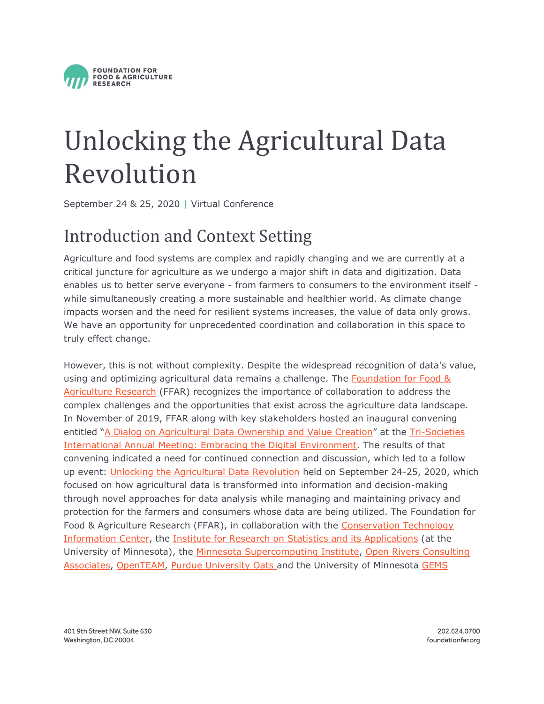

# Unlocking the Agricultural Data Revolution

September 24 & 25, 2020 **|** Virtual Conference

# Introduction and Context Setting

Agriculture and food systems are complex and rapidly changing and we are currently at a critical juncture for agriculture as we undergo a major shift in data and digitization. Data enables us to better serve everyone - from farmers to consumers to the environment itself while simultaneously creating a more sustainable and healthier world. As climate change impacts worsen and the need for resilient systems increases, the value of data only grows. We have an opportunity for unprecedented coordination and collaboration in this space to truly effect change.

However, this is not without complexity. Despite the widespread recognition of data's value, using and optimizing agricultural data remains a challenge. The [Foundation for Food &](https://foundationfar.org/)  [Agriculture Research](https://foundationfar.org/) (FFAR) recognizes the importance of collaboration to address the complex challenges and the opportunities that exist across the agriculture data landscape. In November of 2019, FFAR along with key stakeholders hosted an inaugural convening entitled "[A Dialog on Agricultural Data Ownership and Value Creation](https://foundationfar.org/events/data-privacy-and-data-management-convening-event/)" at the [Tri-Societies](https://scisoc.confex.com/scisoc/2019am/meetingapp.cgi/)  [International Annual Meeting: Embracing the Digital Environment.](https://scisoc.confex.com/scisoc/2019am/meetingapp.cgi/) The results of that convening indicated a need for continued connection and discussion, which led to a follow up event: [Unlocking the Agricultural Data Revolution](https://foundationfar.org/events/unlocking-the-agricultural-data-revolution/) held on September 24-25, 2020, which focused on how agricultural data is transformed into information and decision-making through novel approaches for data analysis while managing and maintaining privacy and protection for the farmers and consumers whose data are being utilized. The Foundation for Food & Agriculture Research (FFAR), in collaboration with the [Conservation Technology](https://www.ctic.org/)  [Information Center,](https://www.ctic.org/) the [Institute for Research on Statistics and its Applications](http://irsa.umn.edu/) (at the University of Minnesota), the [Minnesota Supercomputing Institute,](https://www.msi.umn.edu/) Open Rivers Consulting [Associates,](https://www.open-rivers.com/) [OpenTEAM,](https://openteam.community/) [Purdue University Oats](https://oatscenter.org/) and the University of Minnesota GEMS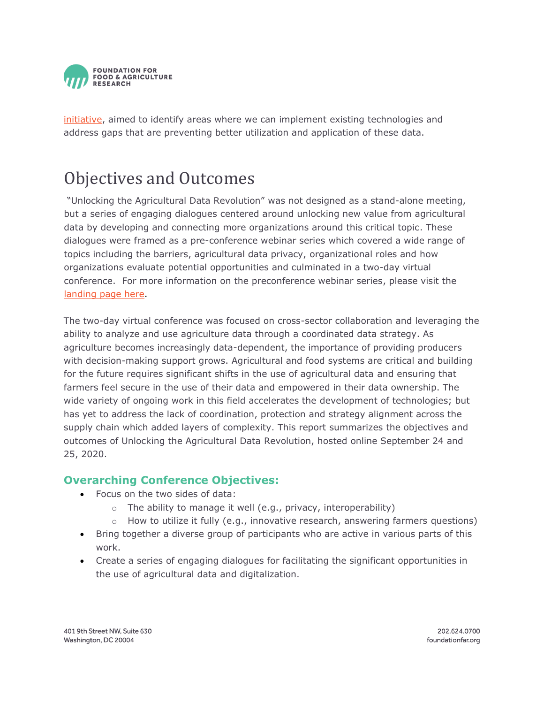

[initiative,](https://agroinformatics.org/) aimed to identify areas where we can implement existing technologies and address gaps that are preventing better utilization and application of these data.

# Objectives and Outcomes

"Unlocking the Agricultural Data Revolution" was not designed as a stand-alone meeting, but a series of engaging dialogues centered around unlocking new value from agricultural data by developing and connecting more organizations around this critical topic. These dialogues were framed as a pre-conference webinar series which covered a wide range of topics including the barriers, agricultural data privacy, organizational roles and how organizations evaluate potential opportunities and culminated in a two-day virtual conference. For more information on the preconference webinar series, please visit the [landing page here.](https://foundationfar.org/events/unlocking-the-agricultural-data-revolution/)

The two-day virtual conference was focused on cross-sector collaboration and leveraging the ability to analyze and use agriculture data through a coordinated data strategy. As agriculture becomes increasingly data-dependent, the importance of providing producers with decision-making support grows. Agricultural and food systems are critical and building for the future requires significant shifts in the use of agricultural data and ensuring that farmers feel secure in the use of their data and empowered in their data ownership. The wide variety of ongoing work in this field accelerates the development of technologies; but has yet to address the lack of coordination, protection and strategy alignment across the supply chain which added layers of complexity. This report summarizes the objectives and outcomes of Unlocking the Agricultural Data Revolution, hosted online September 24 and 25, 2020.

### **Overarching Conference Objectives:**

- Focus on the two sides of data:
	- $\circ$  The ability to manage it well (e.g., privacy, interoperability)
	- $\circ$  How to utilize it fully (e.g., innovative research, answering farmers questions)
- Bring together a diverse group of participants who are active in various parts of this work.
- Create a series of engaging dialogues for facilitating the significant opportunities in the use of agricultural data and digitalization.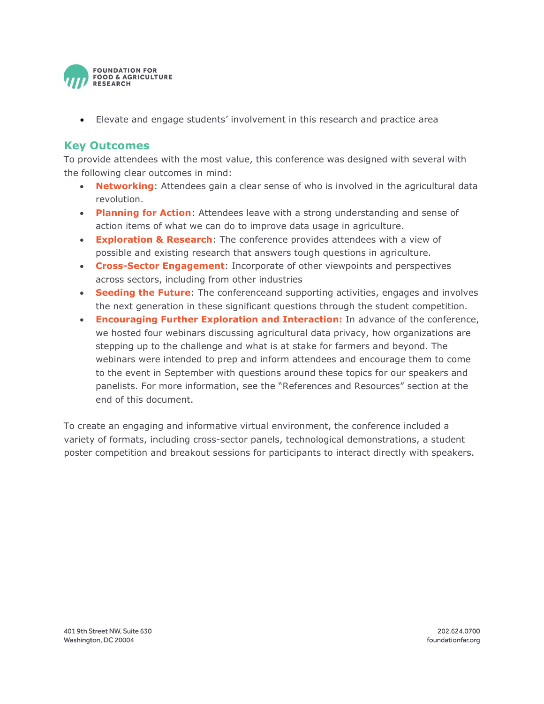

• Elevate and engage students' involvement in this research and practice area

### **Key Outcomes**

To provide attendees with the most value, this conference was designed with several with the following clear outcomes in mind:

- **Networking**: Attendees gain a clear sense of who is involved in the agricultural data revolution.
- **Planning for Action**: Attendees leave with a strong understanding and sense of action items of what we can do to improve data usage in agriculture.
- **Exploration & Research**: The conference provides attendees with a view of possible and existing research that answers tough questions in agriculture.
- **Cross-Sector Engagement**: Incorporate of other viewpoints and perspectives across sectors, including from other industries
- **Seeding the Future**: The conferenceand supporting activities, engages and involves the next generation in these significant questions through the student competition.
- **Encouraging Further Exploration and Interaction:** In advance of the conference, we hosted four webinars discussing agricultural data privacy, how organizations are stepping up to the challenge and what is at stake for farmers and beyond. The webinars were intended to prep and inform attendees and encourage them to come to the event in September with questions around these topics for our speakers and panelists. For more information, see the "References and Resources" section at the end of this document.

To create an engaging and informative virtual environment, the conference included a variety of formats, including cross-sector panels, technological demonstrations, a student poster competition and breakout sessions for participants to interact directly with speakers.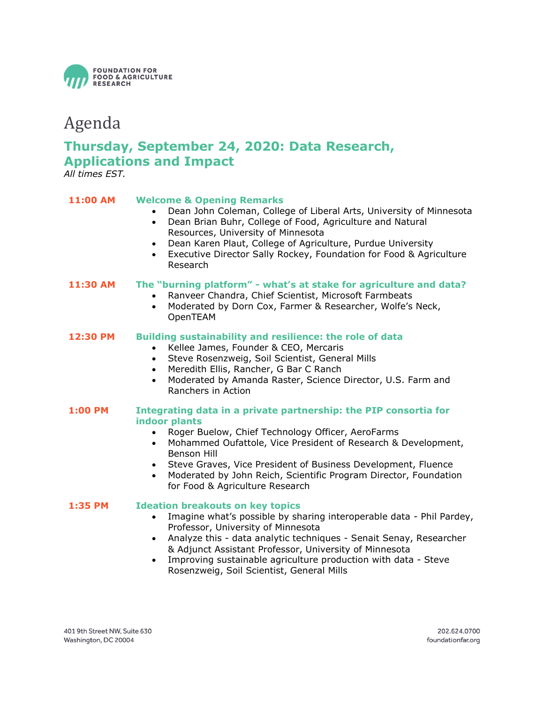

### Agenda

### **Thursday, September 24, 2020: Data Research, Applications and Impact**

*All times EST.*

### **11:00 AM Welcome & Opening Remarks**

- Dean John Coleman, College of Liberal Arts, University of Minnesota
- Dean Brian Buhr, College of Food, Agriculture and Natural Resources, University of Minnesota
	- Dean Karen Plaut, College of Agriculture, Purdue University
	- Executive Director Sally Rockey, Foundation for Food & Agriculture Research

#### **11:30 AM The "burning platform" - what's at stake for agriculture and data?**

- Ranveer Chandra, Chief Scientist, Microsoft Farmbeats
- Moderated by Dorn Cox, Farmer & Researcher, Wolfe's Neck, OpenTEAM

### **12:30 PM Building sustainability and resilience: the role of data**

- Kellee James, Founder & CEO, Mercaris
- Steve Rosenzweig, Soil Scientist, General Mills
- Meredith Ellis, Rancher, G Bar C Ranch
- Moderated by Amanda Raster, Science Director, U.S. Farm and Ranchers in Action

### **1:00 PM Integrating data in a private partnership: the PIP consortia for indoor plants**

- Roger Buelow, Chief Technology Officer, AeroFarms
- Mohammed Oufattole, Vice President of Research & Development, Benson Hill
- Steve Graves, Vice President of Business Development, Fluence
- Moderated by John Reich, Scientific Program Director, Foundation for Food & Agriculture Research

### **1:35 PM Ideation breakouts on key topics**

- Imagine what's possible by sharing interoperable data Phil Pardey, Professor, University of Minnesota
- Analyze this data analytic techniques Senait Senay, Researcher & Adjunct Assistant Professor, University of Minnesota
- Improving sustainable agriculture production with data Steve Rosenzweig, Soil Scientist, General Mills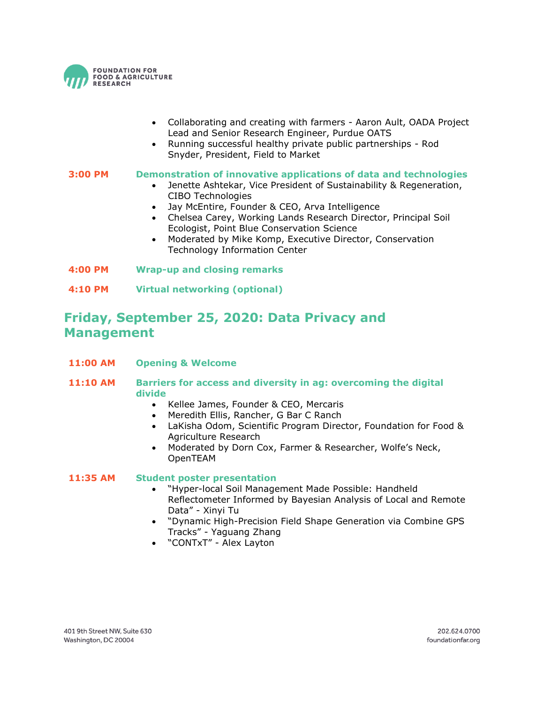

- Collaborating and creating with farmers Aaron Ault, OADA Project Lead and Senior Research Engineer, Purdue OATS
- Running successful healthy private public partnerships Rod Snyder, President, Field to Market

### **3:00 PM Demonstration of innovative applications of data and technologies**

- Jenette Ashtekar, Vice President of Sustainability & Regeneration, CIBO Technologies
- Jay McEntire, Founder & CEO, Arva Intelligence
- Chelsea Carey, Working Lands Research Director, Principal Soil Ecologist, Point Blue Conservation Science
- Moderated by Mike Komp, Executive Director, Conservation Technology Information Center
- **4:00 PM Wrap-up and closing remarks**
- **4:10 PM Virtual networking (optional)**

### **Friday, September 25, 2020: Data Privacy and Management**

- **11:00 AM Opening & Welcome**
- **11:10 AM Barriers for access and diversity in ag: overcoming the digital divide**
	- Kellee James, Founder & CEO, Mercaris
	- Meredith Ellis, Rancher, G Bar C Ranch
	- LaKisha Odom, Scientific Program Director, Foundation for Food & Agriculture Research
	- Moderated by Dorn Cox, Farmer & Researcher, Wolfe's Neck, OpenTEAM

#### **11:35 AM Student poster presentation**

- "Hyper-local Soil Management Made Possible: Handheld Reflectometer Informed by Bayesian Analysis of Local and Remote Data" - Xinyi Tu
- "Dynamic High-Precision Field Shape Generation via Combine GPS Tracks" - Yaguang Zhang
- "CONTxT" Alex Layton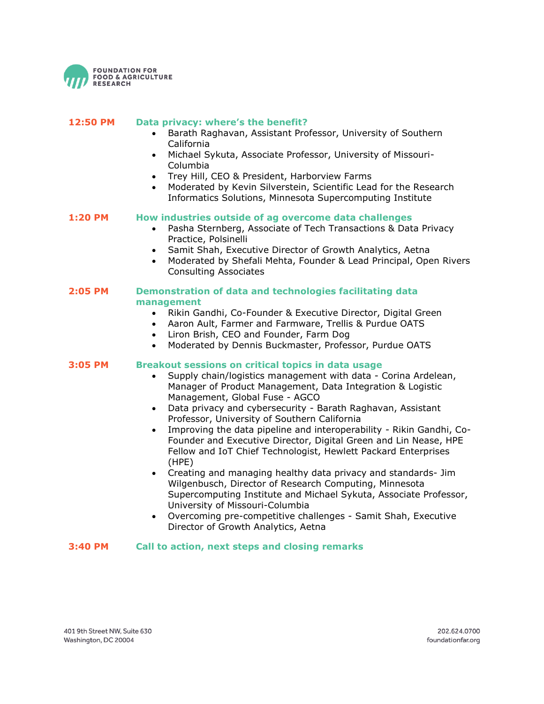

| 12:50 PM       | Data privacy: where's the benefit?<br>Barath Raghavan, Assistant Professor, University of Southern<br>$\bullet$<br>California<br>Michael Sykuta, Associate Professor, University of Missouri-<br>$\bullet$<br>Columbia<br>Trey Hill, CEO & President, Harborview Farms<br>$\bullet$<br>Moderated by Kevin Silverstein, Scientific Lead for the Research<br>$\bullet$<br>Informatics Solutions, Minnesota Supercomputing Institute                                                                                                                                                                                                                                                                                                                                                                                                                                                                                                                         |
|----------------|-----------------------------------------------------------------------------------------------------------------------------------------------------------------------------------------------------------------------------------------------------------------------------------------------------------------------------------------------------------------------------------------------------------------------------------------------------------------------------------------------------------------------------------------------------------------------------------------------------------------------------------------------------------------------------------------------------------------------------------------------------------------------------------------------------------------------------------------------------------------------------------------------------------------------------------------------------------|
| 1:20 PM        | How industries outside of ag overcome data challenges<br>Pasha Sternberg, Associate of Tech Transactions & Data Privacy<br>Practice, Polsinelli<br>Samit Shah, Executive Director of Growth Analytics, Aetna<br>$\bullet$<br>Moderated by Shefali Mehta, Founder & Lead Principal, Open Rivers<br>$\bullet$<br><b>Consulting Associates</b>                                                                                                                                                                                                                                                                                                                                                                                                                                                                                                                                                                                                               |
| <b>2:05 PM</b> | Demonstration of data and technologies facilitating data<br>management<br>Rikin Gandhi, Co-Founder & Executive Director, Digital Green<br>$\bullet$<br>Aaron Ault, Farmer and Farmware, Trellis & Purdue OATS<br>$\bullet$<br>Liron Brish, CEO and Founder, Farm Dog<br>$\bullet$<br>Moderated by Dennis Buckmaster, Professor, Purdue OATS<br>$\bullet$                                                                                                                                                                                                                                                                                                                                                                                                                                                                                                                                                                                                  |
| 3:05 PM        | Breakout sessions on critical topics in data usage<br>Supply chain/logistics management with data - Corina Ardelean,<br>Manager of Product Management, Data Integration & Logistic<br>Management, Global Fuse - AGCO<br>Data privacy and cybersecurity - Barath Raghavan, Assistant<br>$\bullet$<br>Professor, University of Southern California<br>Improving the data pipeline and interoperability - Rikin Gandhi, Co-<br>$\bullet$<br>Founder and Executive Director, Digital Green and Lin Nease, HPE<br>Fellow and IoT Chief Technologist, Hewlett Packard Enterprises<br>(HPE)<br>Creating and managing healthy data privacy and standards- Jim<br>$\bullet$<br>Wilgenbusch, Director of Research Computing, Minnesota<br>Supercomputing Institute and Michael Sykuta, Associate Professor,<br>University of Missouri-Columbia<br>Overcoming pre-competitive challenges - Samit Shah, Executive<br>$\bullet$<br>Director of Growth Analytics, Aetna |

### **3:40 PM Call to action, next steps and closing remarks**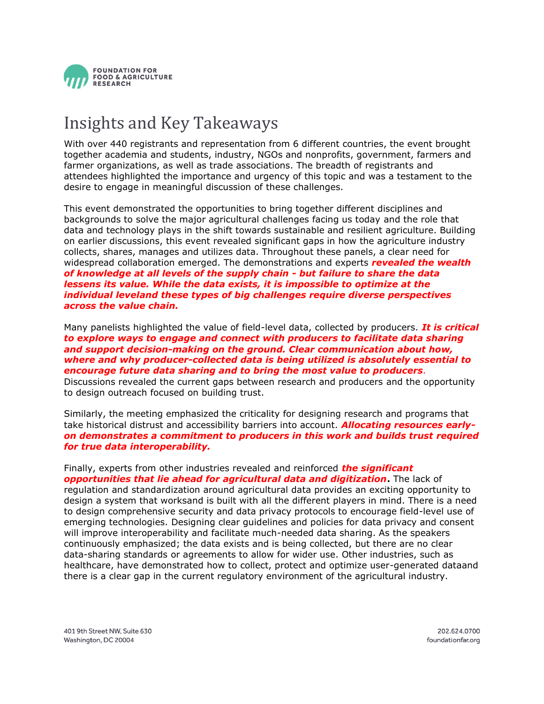

# Insights and Key Takeaways

With over 440 registrants and representation from 6 different countries, the event brought together academia and students, industry, NGOs and nonprofits, government, farmers and farmer organizations, as well as trade associations. The breadth of registrants and attendees highlighted the importance and urgency of this topic and was a testament to the desire to engage in meaningful discussion of these challenges.

This event demonstrated the opportunities to bring together different disciplines and backgrounds to solve the major agricultural challenges facing us today and the role that data and technology plays in the shift towards sustainable and resilient agriculture. Building on earlier discussions, this event revealed significant gaps in how the agriculture industry collects, shares, manages and utilizes data. Throughout these panels, a clear need for widespread collaboration emerged. The demonstrations and experts *revealed the wealth of knowledge at all levels of the supply chain - but failure to share the data lessens its value. While the data exists, it is impossible to optimize at the individual leveland these types of big challenges require diverse perspectives across the value chain.*

Many panelists highlighted the value of field-level data, collected by producers. *It is critical to explore ways to engage and connect with producers to facilitate data sharing and support decision-making on the ground. Clear communication about how, where and why producer-collected data is being utilized is absolutely essential to encourage future data sharing and to bring the most value to producers.*

Discussions revealed the current gaps between research and producers and the opportunity to design outreach focused on building trust.

Similarly, the meeting emphasized the criticality for designing research and programs that take historical distrust and accessibility barriers into account. *Allocating resources earlyon demonstrates a commitment to producers in this work and builds trust required for true data interoperability.*

Finally, experts from other industries revealed and reinforced *the significant opportunities that lie ahead for agricultural data and digitization***.** The lack of regulation and standardization around agricultural data provides an exciting opportunity to design a system that worksand is built with all the different players in mind. There is a need to design comprehensive security and data privacy protocols to encourage field-level use of emerging technologies. Designing clear guidelines and policies for data privacy and consent will improve interoperability and facilitate much-needed data sharing. As the speakers continuously emphasized; the data exists and is being collected, but there are no clear data-sharing standards or agreements to allow for wider use. Other industries, such as healthcare, have demonstrated how to collect, protect and optimize user-generated dataand there is a clear gap in the current regulatory environment of the agricultural industry.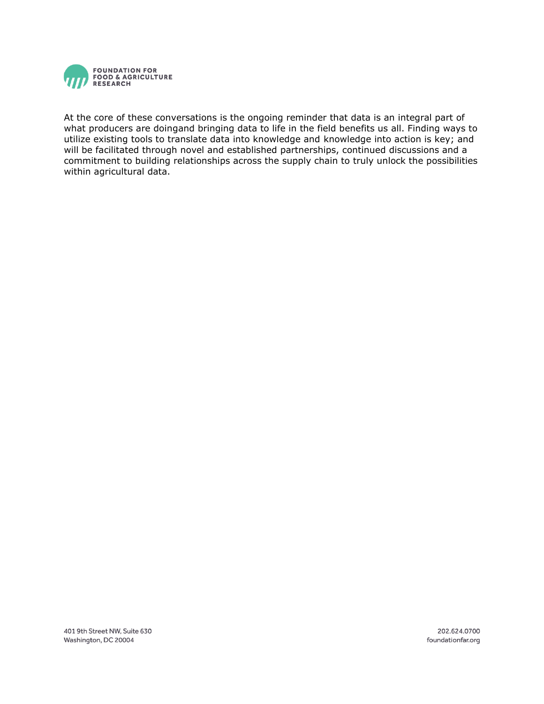

At the core of these conversations is the ongoing reminder that data is an integral part of what producers are doingand bringing data to life in the field benefits us all. Finding ways to utilize existing tools to translate data into knowledge and knowledge into action is key; and will be facilitated through novel and established partnerships, continued discussions and a commitment to building relationships across the supply chain to truly unlock the possibilities within agricultural data.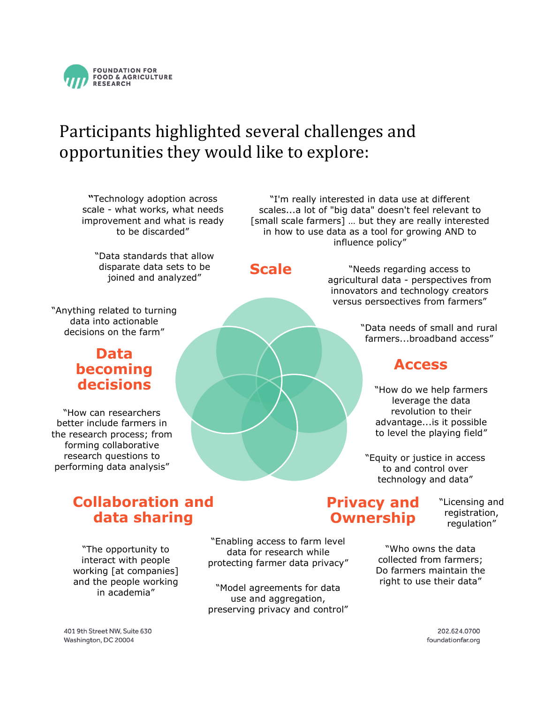

# Participants highlighted several challenges and opportunities they would like to explore:

**"**Technology adoption across scale - what works, what needs improvement and what is ready to be discarded"

"Data standards that allow disparate data sets to be joined and analyzed"

"Anything related to turning data into actionable decisions on the farm"

### **Data becoming decisions**

"How can researchers better include farmers in the research process; from forming collaborative research questions to performing data analysis"

> **Collaboration and data sharing**

"The opportunity to interact with people working [at companies] and the people working in academia"

"Enabling access to farm level data for research while protecting farmer data privacy"

"Model agreements for data use and aggregation, preserving privacy and control"

### **Privacy and Ownership**

"Licensing and registration, regulation"

"Who owns the data collected from farmers; Do farmers maintain the right to use their data"

> 202.624.0700 foundationfar.org

### **Scale**

"Needs regarding access to agricultural data - perspectives from innovators and technology creators versus perspectives from farmers"

"I'm really interested in data use at different scales...a lot of "big data" doesn't feel relevant to [small scale farmers] … but they are really interested in how to use data as a tool for growing AND to influence policy"

> "Data needs of small and rural farmers...broadband access"

### **Access**

"How do we help farmers leverage the data revolution to their advantage...is it possible to level the playing field"

"Equity or justice in access to and control over technology and data"

401 9th Street NW, Suite 630 Washington, DC 20004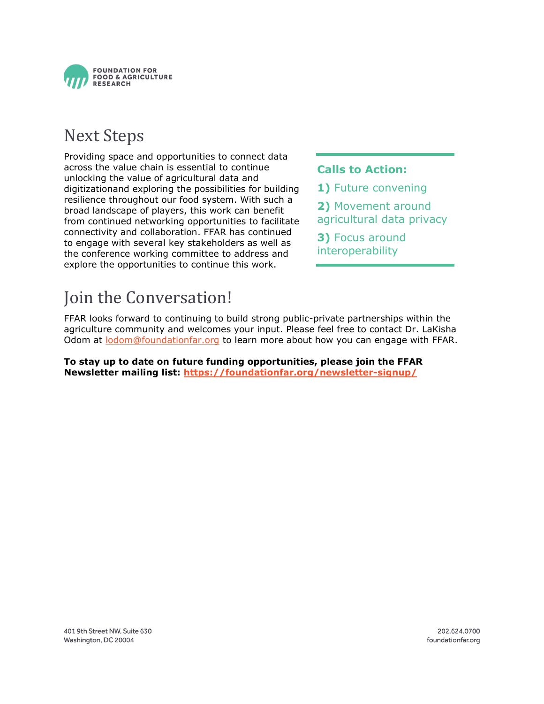

# Next Steps

Providing space and opportunities to connect data across the value chain is essential to continue unlocking the value of agricultural data and digitizationand exploring the possibilities for building resilience throughout our food system. With such a broad landscape of players, this work can benefit from continued networking opportunities to facilitate connectivity and collaboration. FFAR has continued to engage with several key stakeholders as well as the conference working committee to address and explore the opportunities to continue this work.

### **Calls to Action:**

- **1)** Future convening
- **2)** Movement around
- agricultural data privacy
- **3)** Focus around interoperability

# Join the Conversation!

FFAR looks forward to continuing to build strong public-private partnerships within the agriculture community and welcomes your input. Please feel free to contact Dr. LaKisha Odom at [lodom@foundationfar.org](mailto:lodom@foundationfar.org) to learn more about how you can engage with FFAR.

**To stay up to date on future funding opportunities, please join the FFAR Newsletter mailing list:<https://foundationfar.org/newsletter-signup/>**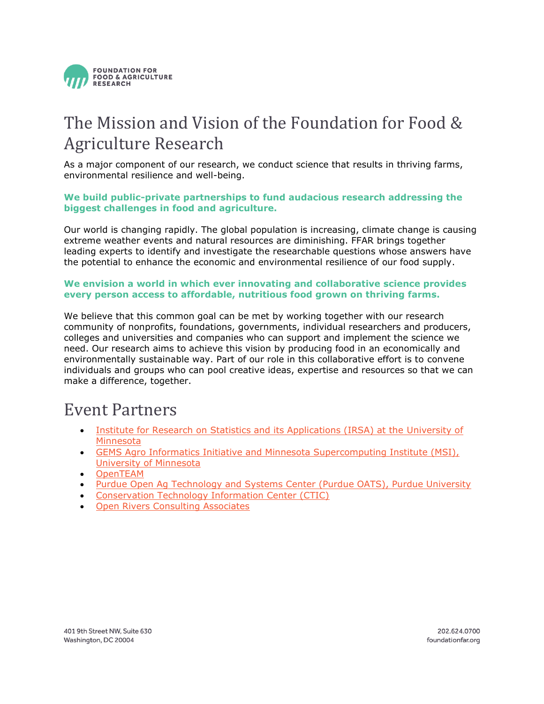

# The Mission and Vision of the Foundation for Food & Agriculture Research

As a major component of our research, we conduct science that results in thriving farms, environmental resilience and well-being.

### **We build public-private partnerships to fund audacious research addressing the biggest challenges in food and agriculture.**

Our world is changing rapidly. The global population is increasing, climate change is causing extreme weather events and natural resources are diminishing. FFAR brings together leading experts to identify and investigate the researchable questions whose answers have the potential to enhance the economic and environmental resilience of our food supply.

### **We envision a world in which ever innovating and collaborative science provides every person access to affordable, nutritious food grown on thriving farms.**

We believe that this common goal can be met by working together with our research community of nonprofits, foundations, governments, individual researchers and producers, colleges and universities and companies who can support and implement the science we need. Our research aims to achieve this vision by producing food in an economically and environmentally sustainable way. Part of our role in this collaborative effort is to convene individuals and groups who can pool creative ideas, expertise and resources so that we can make a difference, together.

### Event Partners

- [Institute for Research on Statistics and its Applications \(IRSA\) at the](http://irsa.umn.edu/) University of [Minnesota](http://irsa.umn.edu/)
- [GEMS Agro Informatics Initiative and Minnesota Supercomputing Institute \(MSI\),](https://agroinformatics.org/)  [University of Minnesota](https://agroinformatics.org/)
- [OpenTEAM](https://openteam.community/)
- [Purdue Open Ag Technology and Systems Center \(Purdue OATS\), Purdue University](https://oatscenter.org/)
- [Conservation Technology Information Center \(CTIC\)](https://www.ctic.org/)
- [Open Rivers Consulting Associates](https://www.open-rivers.com/)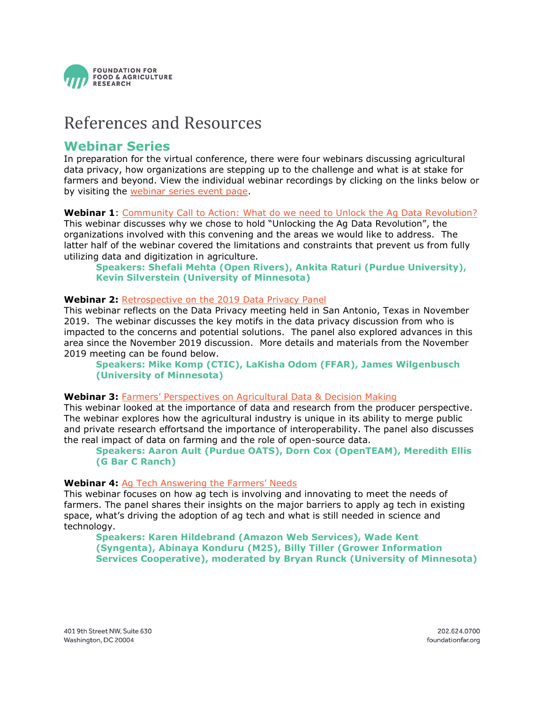

### References and Resources

### **Webinar Series**

In preparation for the virtual conference, there were four webinars discussing agricultural data privacy, how organizations are stepping up to the challenge and what is at stake for farmers and beyond. View the individual webinar recordings by clicking on the links below or by visiting the [webinar series event page.](https://foundationfar.org/?event=unlocking-the-agricultural-data-revolution&event_date=2020-09-24#webinars)

### **Webinar 1**: [Community Call to Action: What do we need to Unlock the Ag Data Revolution?](https://vimeo.com/443259714)

This webinar discusses why we chose to hold "Unlocking the Ag Data Revolution", the organizations involved with this convening and the areas we would like to address. The latter half of the webinar covered the limitations and constraints that prevent us from fully utilizing data and digitization in agriculture.

#### **Speakers: Shefali Mehta (Open Rivers), Ankita Raturi (Purdue University), Kevin Silverstein (University of Minnesota)**

### **Webinar 2:** [Retrospective on the 2019 Data Privacy Panel](https://vimeo.com/449883054)

This webinar reflects on the Data Privacy meeting held in San Antonio, Texas in November 2019. The webinar discusses the key motifs in the data privacy discussion from who is impacted to the concerns and potential solutions. The panel also explored advances in this area since the November 2019 discussion. More details and materials from the November 2019 meeting can be found below.

**Speakers: Mike Komp (CTIC), LaKisha Odom (FFAR), James Wilgenbusch (University of Minnesota)**

### **Webinar 3:** [Farmers' Perspectives on Agricultural Data & Decision Making](https://vimeo.com/453484509)

This webinar looked at the importance of data and research from the producer perspective. The webinar explores how the agricultural industry is unique in its ability to merge public and private research effortsand the importance of interoperability. The panel also discusses the real impact of data on farming and the role of open-source data.

#### **Speakers: Aaron Ault (Purdue OATS), Dorn Cox (OpenTEAM), Meredith Ellis (G Bar C Ranch)**

### **Webinar 4:** [Ag Tech Answering the Farmers' Needs](https://vimeo.com/458339407)

This webinar focuses on how ag tech is involving and innovating to meet the needs of farmers. The panel shares their insights on the major barriers to apply ag tech in existing space, what's driving the adoption of ag tech and what is still needed in science and technology.

**Speakers: Karen Hildebrand (Amazon Web Services), Wade Kent (Syngenta), Abinaya Konduru (M25), Billy Tiller (Grower Information Services Cooperative), moderated by Bryan Runck (University of Minnesota)**

401 9th Street NW, Suite 630 Washington, DC 20004